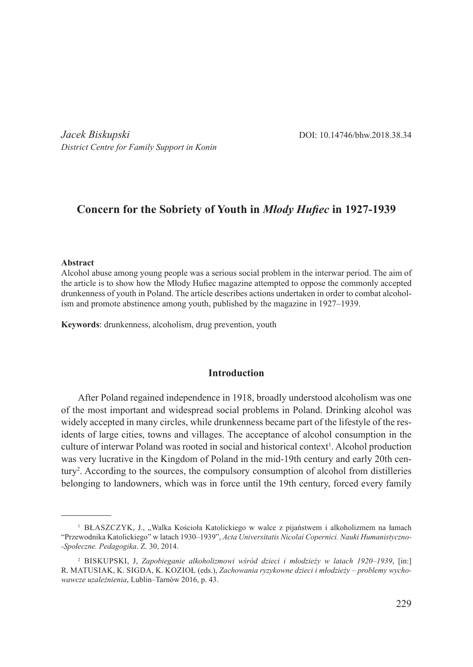*Jacek Biskupski* DOI: 10.14746/bhw.2018.38.34 *District Centre for Family Support in Konin*

# **Concern for the Sobriety of Youth in** *Młody Hufiec* **in 1927-1939**

#### **Abstract**

Alcohol abuse among young people was a serious social problem in the interwar period. The aim of the article is to show how the Młody Hufiec magazine attempted to oppose the commonly accepted drunkenness of youth in Poland. The article describes actions undertaken in order to combat alcoholism and promote abstinence among youth, published by the magazine in 1927–1939.

**Keywords**: drunkenness, alcoholism, drug prevention, youth

### **Introduction**

After Poland regained independence in 1918, broadly understood alcoholism was one of the most important and widespread social problems in Poland. Drinking alcohol was widely accepted in many circles, while drunkenness became part of the lifestyle of the residents of large cities, towns and villages. The acceptance of alcohol consumption in the culture of interwar Poland was rooted in social and historical context<sup>1</sup>. Alcohol production was very lucrative in the Kingdom of Poland in the mid-19th century and early 20th century<sup>2</sup> . According to the sources, the compulsory consumption of alcohol from distilleries belonging to landowners, which was in force until the 19th century, forced every family

<sup>&</sup>lt;sup>1</sup> BŁASZCZYK, J., "Walka Kościoła Katolickiego w walce z pijaństwem i alkoholizmem na łamach "Przewodnika Katolickiego" w latach 1930–1939", *Acta Universitatis Nicolai Copernici. Nauki Humanistyczno-Społeczne. Pedagogika*. Z. 30, 2014.

<sup>2</sup> Biskupski, J, *Zapobieganie alkoholizmowi wśród dzieci i młodzieży w latach 1920–1939*, [in:] R. Matusiak, K. Sigda, K. Kozioł (eds.), *Zachowania ryzykowne dzieci i młodzieży – problemy wychowawcze uzależnienia*, Lublin–Tarnów 2016, p. 43.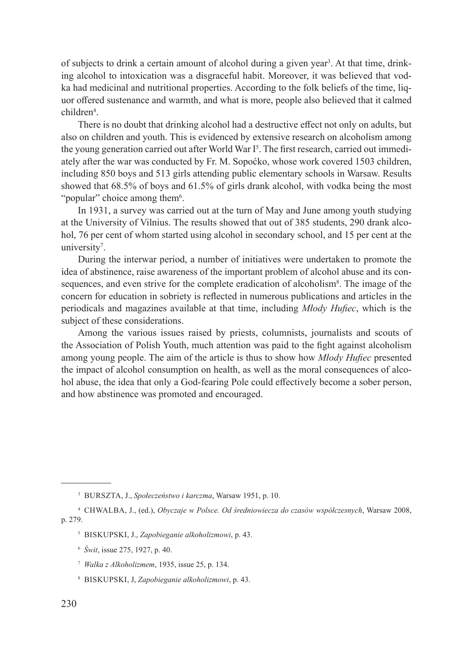of subjects to drink a certain amount of alcohol during a given year<sup>3</sup>. At that time, drinking alcohol to intoxication was a disgraceful habit. Moreover, it was believed that vodka had medicinal and nutritional properties. According to the folk beliefs of the time, liquor offered sustenance and warmth, and what is more, people also believed that it calmed children4 .

There is no doubt that drinking alcohol had a destructive effect not only on adults, but also on children and youth. This is evidenced by extensive research on alcoholism among the young generation carried out after World War I<sup>5</sup>. The first research, carried out immediately after the war was conducted by Fr. M. Sopoćko, whose work covered 1503 children, including 850 boys and 513 girls attending public elementary schools in Warsaw. Results showed that 68.5% of boys and 61.5% of girls drank alcohol, with vodka being the most "popular" choice among them<sup>6</sup>.

In 1931, a survey was carried out at the turn of May and June among youth studying at the University of Vilnius. The results showed that out of 385 students, 290 drank alcohol, 76 per cent of whom started using alcohol in secondary school, and 15 per cent at the university<sup>7</sup>.

During the interwar period, a number of initiatives were undertaken to promote the idea of abstinence, raise awareness of the important problem of alcohol abuse and its consequences, and even strive for the complete eradication of alcoholism<sup>8</sup>. The image of the concern for education in sobriety is reflected in numerous publications and articles in the periodicals and magazines available at that time, including *Młody Hufiec*, which is the subject of these considerations.

Among the various issues raised by priests, columnists, journalists and scouts of the Association of Polish Youth, much attention was paid to the fight against alcoholism among young people. The aim of the article is thus to show how *Młody Hufiec* presented the impact of alcohol consumption on health, as well as the moral consequences of alcohol abuse, the idea that only a God-fearing Pole could effectively become a sober person, and how abstinence was promoted and encouraged.

<sup>3</sup> Burszta, J., *Społeczeństwo i karczma*, Warsaw 1951, p. 10.

<sup>4</sup> Chwalba, J., (ed.), *Obyczaje w Polsce. Od średniowiecza do czasów współczesnych*, Warsaw 2008, p. 279.

<sup>5</sup> Biskupski, J., *Zapobieganie alkoholizmowi*, p. 43.

<sup>6</sup> *Świt*, issue 275, 1927, p. 40.

<sup>7</sup> *Walka z Alkoholizmem*, 1935, issue 25, p. 134.

<sup>8</sup> Biskupski, J, *Zapobieganie alkoholizmowi*, p. 43.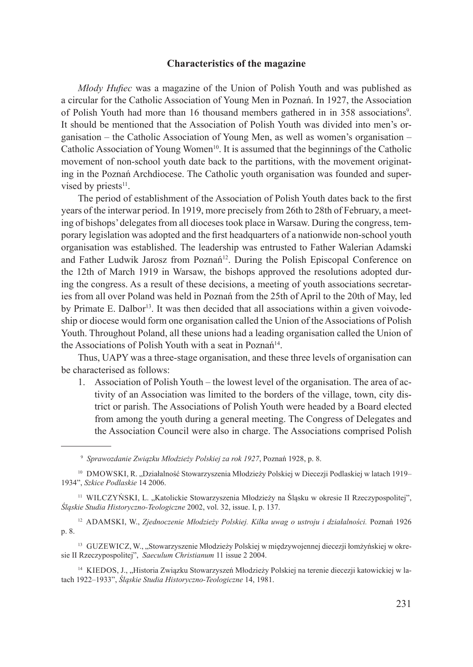### **Characteristics of the magazine**

*Młody Hufiec* was a magazine of the Union of Polish Youth and was published as a circular for the Catholic Association of Young Men in Poznań. In 1927, the Association of Polish Youth had more than 16 thousand members gathered in in 358 associations<sup>9</sup>. It should be mentioned that the Association of Polish Youth was divided into men's organisation – the Catholic Association of Young Men, as well as women's organisation – Catholic Association of Young Women<sup>10</sup>. It is assumed that the beginnings of the Catholic movement of non-school youth date back to the partitions, with the movement originating in the Poznań Archdiocese. The Catholic youth organisation was founded and supervised by priests $11$ .

The period of establishment of the Association of Polish Youth dates back to the first years of the interwar period. In 1919, more precisely from 26th to 28th of February, a meeting of bishops' delegates from all dioceses took place in Warsaw. During the congress, temporary legislation was adopted and the first headquarters of a nationwide non-school youth organisation was established. The leadership was entrusted to Father Walerian Adamski and Father Ludwik Jarosz from Poznań<sup>12</sup>. During the Polish Episcopal Conference on the 12th of March 1919 in Warsaw, the bishops approved the resolutions adopted during the congress. As a result of these decisions, a meeting of youth associations secretaries from all over Poland was held in Poznań from the 25th of April to the 20th of May, led by Primate E. Dalbor<sup>13</sup>. It was then decided that all associations within a given voivodeship or diocese would form one organisation called the Union of the Associations of Polish Youth. Throughout Poland, all these unions had a leading organisation called the Union of the Associations of Polish Youth with a seat in Poznań<sup>14</sup>.

Thus, UAPY was a three-stage organisation, and these three levels of organisation can be characterised as follows:

1. Association of Polish Youth – the lowest level of the organisation. The area of activity of an Association was limited to the borders of the village, town, city district or parish. The Associations of Polish Youth were headed by a Board elected from among the youth during a general meeting. The Congress of Delegates and the Association Council were also in charge. The Associations comprised Polish

<sup>12</sup> Adamski, W., *Zjednoczenie Młodzieży Polskiej. Kilka uwag o ustroju i działalności.* Poznań 1926 p. 8.

<sup>13</sup> GUZEWICZ, W., "Stowarzyszenie Młodzieży Polskiej w międzywojennej diecezji łomżyńskiej w okresie II Rzeczypospolitej", *Saeculum Christianum* 11 issue 2 2004.

<sup>14</sup> KIEDOS, J., "Historia Związku Stowarzyszeń Młodzieży Polskiej na terenie diecezji katowickiej w latach 1922–1933", *Śląskie Studia Historyczno-Teologiczne* 14, 1981.

<sup>9</sup> *Sprawozdanie Związku Młodzieży Polskiej za rok 1927*, Poznań 1928, p. 8.

<sup>&</sup>lt;sup>10</sup> DMOWSKI, R. "Działalność Stowarzyszenia Młodzieży Polskiej w Diecezji Podlaskiej w latach 1919– 1934", *Szkice Podlaskie* 14 2006.

<sup>&</sup>lt;sup>11</sup> WILCZYŃSKI, L. "Katolickie Stowarzyszenia Młodzieży na Śląsku w okresie II Rzeczypospolitej", *Śląskie Studia Historyczno-Teologiczne* 2002, vol. 32, issue. I, p. 137.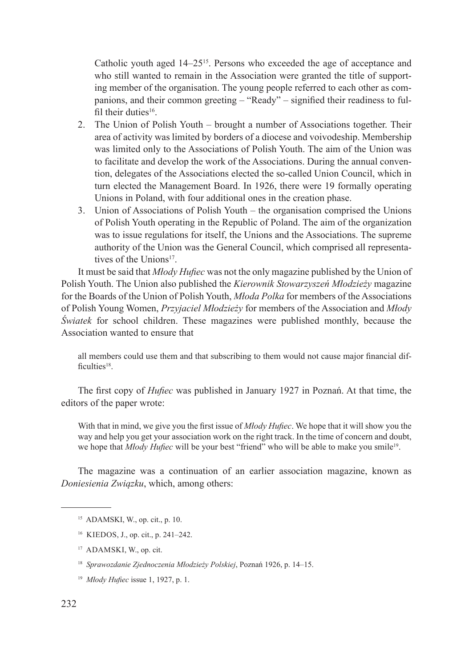Catholic youth aged 14–25<sup>15</sup>. Persons who exceeded the age of acceptance and who still wanted to remain in the Association were granted the title of supporting member of the organisation. The young people referred to each other as companions, and their common greeting – "Ready" – signified their readiness to fulfil their duties $16$ .

- 2. The Union of Polish Youth brought a number of Associations together. Their area of activity was limited by borders of a diocese and voivodeship. Membership was limited only to the Associations of Polish Youth. The aim of the Union was to facilitate and develop the work of the Associations. During the annual convention, delegates of the Associations elected the so-called Union Council, which in turn elected the Management Board. In 1926, there were 19 formally operating Unions in Poland, with four additional ones in the creation phase.
- 3. Union of Associations of Polish Youth the organisation comprised the Unions of Polish Youth operating in the Republic of Poland. The aim of the organization was to issue regulations for itself, the Unions and the Associations. The supreme authority of the Union was the General Council, which comprised all representatives of the Unions<sup>17</sup>.

It must be said that *Młody Hufiec* was not the only magazine published by the Union of Polish Youth. The Union also published the *Kierownik Stowarzyszeń Młodzieży* magazine for the Boards of the Union of Polish Youth, *Młoda Polka* for members of the Associations of Polish Young Women, *Przyjaciel Młodzieży* for members of the Association and *Młody Światek* for school children. These magazines were published monthly, because the Association wanted to ensure that

all members could use them and that subscribing to them would not cause major financial difficulties $18$ .

The first copy of *Hufiec* was published in January 1927 in Poznań. At that time, the editors of the paper wrote:

With that in mind, we give you the first issue of *Młody Hufiec*. We hope that it will show you the way and help you get your association work on the right track. In the time of concern and doubt, we hope that *Młody Hufiec* will be your best "friend" who will be able to make you smile<sup>19</sup>.

The magazine was a continuation of an earlier association magazine, known as *Doniesienia Związku*, which, among others:

- <sup>16</sup> KIEDOS, J., op. cit., p. 241–242.
- <sup>17</sup> ADAMSKI, W., op. cit.
- <sup>18</sup> *Sprawozdanie Zjednoczenia Młodzieży Polskiej*, Poznań 1926, p. 14–15.
- <sup>19</sup> *Młody Hufiec* issue 1, 1927, p. 1.

<sup>15</sup> ADAMSKI, W., op. cit., p. 10.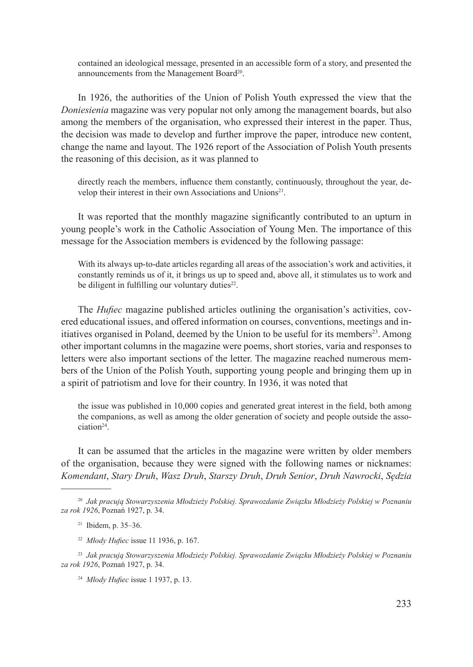contained an ideological message, presented in an accessible form of a story, and presented the announcements from the Management Board<sup>20</sup>.

In 1926, the authorities of the Union of Polish Youth expressed the view that the *Doniesienia* magazine was very popular not only among the management boards, but also among the members of the organisation, who expressed their interest in the paper. Thus, the decision was made to develop and further improve the paper, introduce new content, change the name and layout. The 1926 report of the Association of Polish Youth presents the reasoning of this decision, as it was planned to

directly reach the members, influence them constantly, continuously, throughout the year, develop their interest in their own Associations and Unions<sup>21</sup>.

It was reported that the monthly magazine significantly contributed to an upturn in young people's work in the Catholic Association of Young Men. The importance of this message for the Association members is evidenced by the following passage:

With its always up-to-date articles regarding all areas of the association's work and activities, it constantly reminds us of it, it brings us up to speed and, above all, it stimulates us to work and be diligent in fulfilling our voluntary duties $22$ .

The *Hufiec* magazine published articles outlining the organisation's activities, covered educational issues, and offered information on courses, conventions, meetings and initiatives organised in Poland, deemed by the Union to be useful for its members<sup>23</sup>. Among other important columns in the magazine were poems, short stories, varia and responses to letters were also important sections of the letter. The magazine reached numerous members of the Union of the Polish Youth, supporting young people and bringing them up in a spirit of patriotism and love for their country. In 1936, it was noted that

the issue was published in 10,000 copies and generated great interest in the field, both among the companions, as well as among the older generation of society and people outside the association24.

It can be assumed that the articles in the magazine were written by older members of the organisation, because they were signed with the following names or nicknames: *Komendant*, *Stary Druh*, *Wasz Druh*, *Starszy Druh*, *Druh Senior*, *Druh Nawrocki*, *Sędzia* 

<sup>22</sup> *Młody Hufiec* issue 11 1936, p. 167.

<sup>23</sup> *Jak pracują Stowarzyszenia Młodzieży Polskiej. Sprawozdanie Związku Młodzieży Polskiej w Poznaniu za rok 1926*, Poznań 1927, p. 34.

<sup>24</sup> *Młody Hufiec* issue 1 1937, p. 13.

<sup>20</sup> *Jak pracują Stowarzyszenia Młodzieży Polskiej. Sprawozdanie Związku Młodzieży Polskiej w Poznaniu za rok 1926*, Poznań 1927, p. 34.

<sup>21</sup> Ibidem, p. 35–36.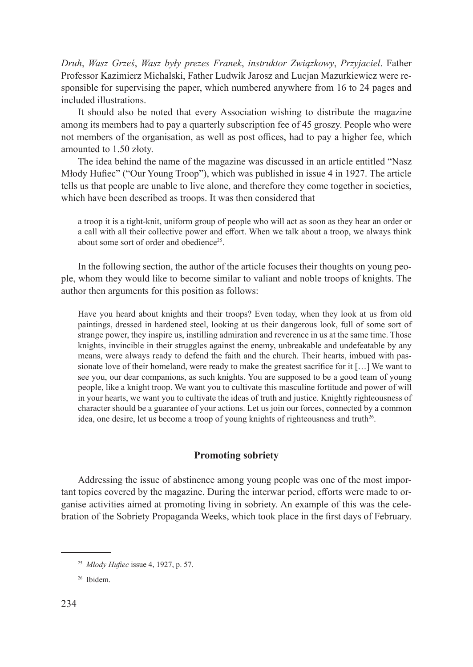*Druh*, *Wasz Grześ*, *Wasz były prezes Franek*, *instruktor Związkowy*, *Przyjaciel*. Father Professor Kazimierz Michalski, Father Ludwik Jarosz and Lucjan Mazurkiewicz were responsible for supervising the paper, which numbered anywhere from 16 to 24 pages and included illustrations.

It should also be noted that every Association wishing to distribute the magazine among its members had to pay a quarterly subscription fee of 45 groszy. People who were not members of the organisation, as well as post offices, had to pay a higher fee, which amounted to 1.50 złoty.

The idea behind the name of the magazine was discussed in an article entitled "Nasz Młody Hufiec" ("Our Young Troop"), which was published in issue 4 in 1927. The article tells us that people are unable to live alone, and therefore they come together in societies, which have been described as troops. It was then considered that

a troop it is a tight-knit, uniform group of people who will act as soon as they hear an order or a call with all their collective power and effort. When we talk about a troop, we always think about some sort of order and obedience<sup>25</sup>.

In the following section, the author of the article focuses their thoughts on young people, whom they would like to become similar to valiant and noble troops of knights. The author then arguments for this position as follows:

Have you heard about knights and their troops? Even today, when they look at us from old paintings, dressed in hardened steel, looking at us their dangerous look, full of some sort of strange power, they inspire us, instilling admiration and reverence in us at the same time. Those knights, invincible in their struggles against the enemy, unbreakable and undefeatable by any means, were always ready to defend the faith and the church. Their hearts, imbued with passionate love of their homeland, were ready to make the greatest sacrifice for it […] We want to see you, our dear companions, as such knights. You are supposed to be a good team of young people, like a knight troop. We want you to cultivate this masculine fortitude and power of will in your hearts, we want you to cultivate the ideas of truth and justice. Knightly righteousness of character should be a guarantee of your actions. Let us join our forces, connected by a common idea, one desire, let us become a troop of young knights of righteousness and truth<sup>26</sup>.

## **Promoting sobriety**

Addressing the issue of abstinence among young people was one of the most important topics covered by the magazine. During the interwar period, efforts were made to organise activities aimed at promoting living in sobriety. An example of this was the celebration of the Sobriety Propaganda Weeks, which took place in the first days of February.

<sup>25</sup> *Młody Hufiec* issue 4, 1927, p. 57.

<sup>26</sup> Ibidem.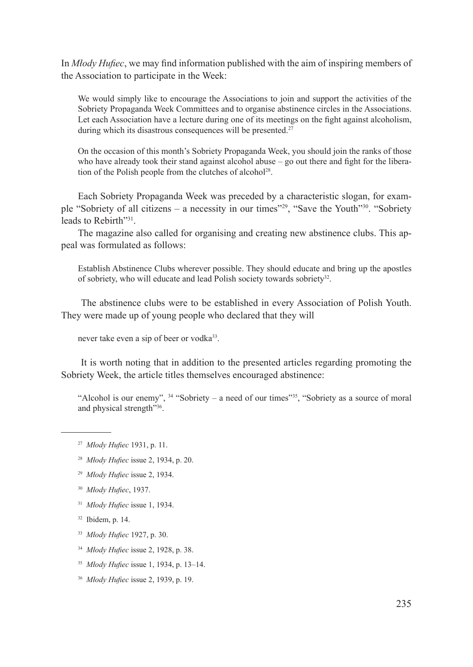In *Młody Hufiec*, we may find information published with the aim of inspiring members of the Association to participate in the Week:

We would simply like to encourage the Associations to join and support the activities of the Sobriety Propaganda Week Committees and to organise abstinence circles in the Associations. Let each Association have a lecture during one of its meetings on the fight against alcoholism, during which its disastrous consequences will be presented.<sup>27</sup>

On the occasion of this month's Sobriety Propaganda Week, you should join the ranks of those who have already took their stand against alcohol abuse  $-$  go out there and fight for the liberation of the Polish people from the clutches of alcohol<sup>28</sup>.

Each Sobriety Propaganda Week was preceded by a characteristic slogan, for example "Sobriety of all citizens – a necessity in our times"29, "Save the Youth"30. "Sobriety leads to Rebirth"<sup>31</sup>

The magazine also called for organising and creating new abstinence clubs. This appeal was formulated as follows:

Establish Abstinence Clubs wherever possible. They should educate and bring up the apostles of sobriety, who will educate and lead Polish society towards sobriety<sup>32</sup>.

 The abstinence clubs were to be established in every Association of Polish Youth. They were made up of young people who declared that they will

never take even a sip of beer or vodka<sup>33</sup>.

 It is worth noting that in addition to the presented articles regarding promoting the Sobriety Week, the article titles themselves encouraged abstinence:

"Alcohol is our enemy", <sup>34</sup> "Sobriety – a need of our times"<sup>35</sup>, "Sobriety as a source of moral and physical strength"36.

- <sup>27</sup> *Młody Hufiec* 1931, p. 11.
- <sup>28</sup> *Młody Hufiec* issue 2, 1934, p. 20.
- <sup>29</sup> *Młody Hufiec* issue 2, 1934.
- <sup>30</sup> *Młody Hufiec*, 1937.
- <sup>31</sup> *Młody Hufiec* issue 1, 1934.
- <sup>32</sup> Ibidem, p. 14.
- <sup>33</sup> *Młody Hufiec* 1927, p. 30.
- <sup>34</sup> *Młody Hufiec* issue 2, 1928, p. 38.
- <sup>35</sup> *Młody Hufiec* issue 1, 1934, p. 13–14.
- <sup>36</sup> *Młody Hufiec* issue 2, 1939, p. 19.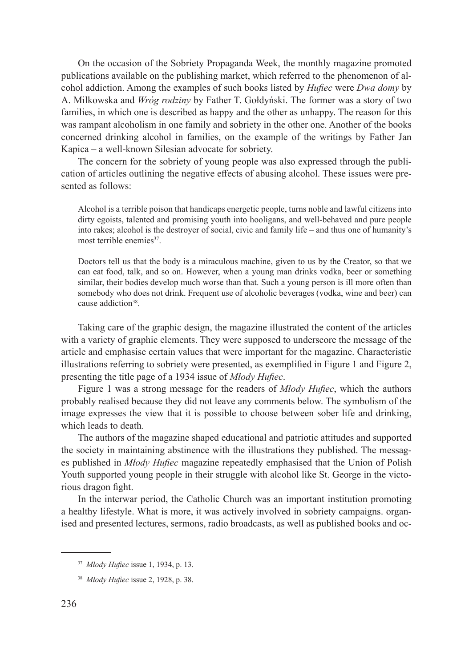On the occasion of the Sobriety Propaganda Week, the monthly magazine promoted publications available on the publishing market, which referred to the phenomenon of alcohol addiction. Among the examples of such books listed by *Hufiec* were *Dwa domy* by A. Milkowska and *Wróg rodziny* by Father T. Gołdyński. The former was a story of two families, in which one is described as happy and the other as unhappy. The reason for this was rampant alcoholism in one family and sobriety in the other one. Another of the books concerned drinking alcohol in families, on the example of the writings by Father Jan Kapica – a well-known Silesian advocate for sobriety.

The concern for the sobriety of young people was also expressed through the publication of articles outlining the negative effects of abusing alcohol. These issues were presented as follows:

Alcohol is a terrible poison that handicaps energetic people, turns noble and lawful citizens into dirty egoists, talented and promising youth into hooligans, and well-behaved and pure people into rakes; alcohol is the destroyer of social, civic and family life – and thus one of humanity's most terrible enemies<sup>37</sup>.

Doctors tell us that the body is a miraculous machine, given to us by the Creator, so that we can eat food, talk, and so on. However, when a young man drinks vodka, beer or something similar, their bodies develop much worse than that. Such a young person is ill more often than somebody who does not drink. Frequent use of alcoholic beverages (vodka, wine and beer) can cause addiction<sup>38</sup>.

Taking care of the graphic design, the magazine illustrated the content of the articles with a variety of graphic elements. They were supposed to underscore the message of the article and emphasise certain values that were important for the magazine. Characteristic illustrations referring to sobriety were presented, as exemplified in Figure 1 and Figure 2, presenting the title page of a 1934 issue of *Młody Hufiec*.

Figure 1 was a strong message for the readers of *Młody Hufiec*, which the authors probably realised because they did not leave any comments below. The symbolism of the image expresses the view that it is possible to choose between sober life and drinking, which leads to death.

The authors of the magazine shaped educational and patriotic attitudes and supported the society in maintaining abstinence with the illustrations they published. The messages published in *Młody Hufiec* magazine repeatedly emphasised that the Union of Polish Youth supported young people in their struggle with alcohol like St. George in the victorious dragon fight.

In the interwar period, the Catholic Church was an important institution promoting a healthy lifestyle. What is more, it was actively involved in sobriety campaigns. organised and presented lectures, sermons, radio broadcasts, as well as published books and oc-

<sup>37</sup> *Młody Hufiec* issue 1, 1934, p. 13.

<sup>38</sup> *Młody Hufiec* issue 2, 1928, p. 38.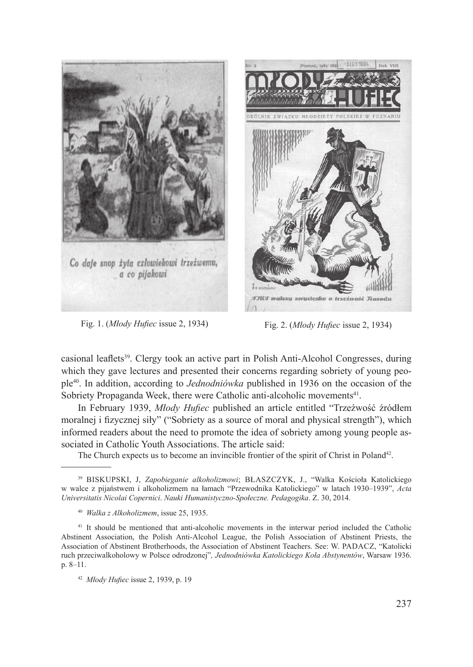



Fig. 1. (*Młody Hufiec* issue 2, 1934) Fig. 2. (*Młody Hufiec* issue 2, 1934)

casional leaflets<sup>39</sup>. Clergy took an active part in Polish Anti-Alcohol Congresses, during which they gave lectures and presented their concerns regarding sobriety of young people40. In addition, according to *Jednodniówka* published in 1936 on the occasion of the Sobriety Propaganda Week, there were Catholic anti-alcoholic movements<sup>41</sup>.

In February 1939, *Młody Hufiec* published an article entitled "Trzeźwość źródłem moralnej i fizycznej siły" ("Sobriety as a source of moral and physical strength"), which informed readers about the need to promote the idea of sobriety among young people associated in Catholic Youth Associations. The article said:

The Church expects us to become an invincible frontier of the spirit of Christ in Poland<sup>42</sup>.

<sup>39</sup> Biskupski, J, *Zapobieganie alkoholizmowi*; Błaszczyk, J., "Walka Kościoła Katolickiego w walce z pijaństwem i alkoholizmem na łamach "Przewodnika Katolickiego" w latach 1930–1939", *Acta Universitatis Nicolai Copernici*. *Nauki Humanistyczno-Społeczne. Pedagogika*. Z. 30, 2014.

<sup>40</sup> *Walka z Alkoholizmem*, issue 25, 1935.

<sup>41</sup> It should be mentioned that anti-alcoholic movements in the interwar period included the Catholic Abstinent Association, the Polish Anti-Alcohol League, the Polish Association of Abstinent Priests, the Association of Abstinent Brotherhoods, the Association of Abstinent Teachers. See: W. Padacz, "Katolicki ruch przeciwalkoholowy w Polsce odrodzonej"*, Jednodniówka Katolickiego Koła Abstynentów*, Warsaw 1936. p. 8–11.

<sup>42</sup> *Młody Hufiec* issue 2, 1939, p. 19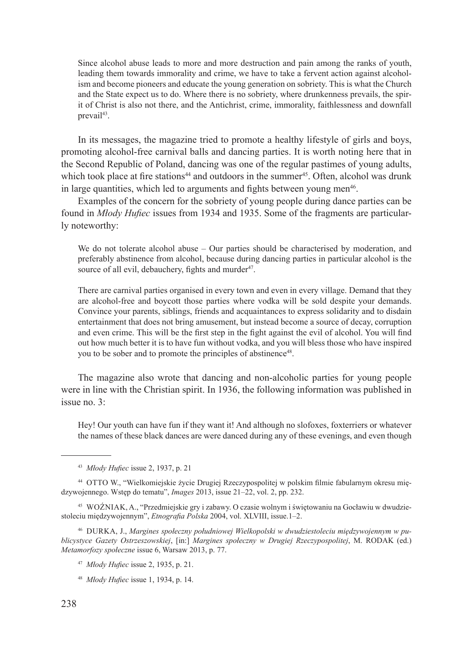Since alcohol abuse leads to more and more destruction and pain among the ranks of youth, leading them towards immorality and crime, we have to take a fervent action against alcoholism and become pioneers and educate the young generation on sobriety. This is what the Church and the State expect us to do. Where there is no sobriety, where drunkenness prevails, the spirit of Christ is also not there, and the Antichrist, crime, immorality, faithlessness and downfall prevail<sup>43</sup>.

In its messages, the magazine tried to promote a healthy lifestyle of girls and boys, promoting alcohol-free carnival balls and dancing parties. It is worth noting here that in the Second Republic of Poland, dancing was one of the regular pastimes of young adults, which took place at fire stations<sup>44</sup> and outdoors in the summer<sup>45</sup>. Often, alcohol was drunk in large quantities, which led to arguments and fights between young men<sup>46</sup>.

Examples of the concern for the sobriety of young people during dance parties can be found in *Młody Hufiec* issues from 1934 and 1935. Some of the fragments are particularly noteworthy:

We do not tolerate alcohol abuse – Our parties should be characterised by moderation, and preferably abstinence from alcohol, because during dancing parties in particular alcohol is the source of all evil, debauchery, fights and murder<sup>47</sup>.

There are carnival parties organised in every town and even in every village. Demand that they are alcohol-free and boycott those parties where vodka will be sold despite your demands. Convince your parents, siblings, friends and acquaintances to express solidarity and to disdain entertainment that does not bring amusement, but instead become a source of decay, corruption and even crime. This will be the first step in the fight against the evil of alcohol. You will find out how much better it is to have fun without vodka, and you will bless those who have inspired you to be sober and to promote the principles of abstinence<sup>48</sup>.

The magazine also wrote that dancing and non-alcoholic parties for young people were in line with the Christian spirit. In 1936, the following information was published in issue no. 3:

Hey! Our youth can have fun if they want it! And although no slofoxes, foxterriers or whatever the names of these black dances are were danced during any of these evenings, and even though

<sup>44</sup> Otto W., "Wielkomiejskie życie Drugiej Rzeczypospolitej w polskim filmie fabularnym okresu międzywojennego. Wstęp do tematu", *Images* 2013, issue 21–22, vol. 2, pp. 232.

<sup>45</sup> WOŹNIAK, A., "Przedmiejskie gry i zabawy. O czasie wolnym i świętowaniu na Gocławiu w dwudziestoleciu międzywojennym", *Etnografia Polska* 2004, vol. XLVIII, issue.1–2.

<sup>46</sup> Durka, J., *Margines społeczny południowej Wielkopolski w dwudziestoleciu międzywojennym w publicystyce Gazety Ostrzeszowskiej*, [in:] *Margines społeczny w Drugiej Rzeczypospolitej*, M. RODAK (ed.) *Metamorfozy społeczne* issue 6, Warsaw 2013, p. 77.

<sup>43</sup> *Młody Hufiec* issue 2, 1937, p. 21

<sup>47</sup> *Młody Hufiec* issue 2, 1935, p. 21.

<sup>48</sup> *Młody Hufiec* issue 1, 1934, p. 14.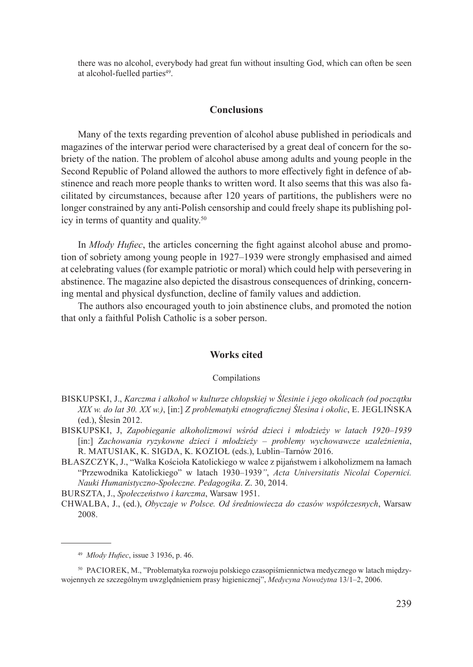there was no alcohol, everybody had great fun without insulting God, which can often be seen at alcohol-fuelled parties<sup>49</sup>.

## **Conclusions**

Many of the texts regarding prevention of alcohol abuse published in periodicals and magazines of the interwar period were characterised by a great deal of concern for the sobriety of the nation. The problem of alcohol abuse among adults and young people in the Second Republic of Poland allowed the authors to more effectively fight in defence of abstinence and reach more people thanks to written word. It also seems that this was also facilitated by circumstances, because after 120 years of partitions, the publishers were no longer constrained by any anti-Polish censorship and could freely shape its publishing policy in terms of quantity and quality.50

In *Młody Hufiec*, the articles concerning the fight against alcohol abuse and promotion of sobriety among young people in 1927–1939 were strongly emphasised and aimed at celebrating values (for example patriotic or moral) which could help with persevering in abstinence. The magazine also depicted the disastrous consequences of drinking, concerning mental and physical dysfunction, decline of family values and addiction.

The authors also encouraged youth to join abstinence clubs, and promoted the notion that only a faithful Polish Catholic is a sober person.

## **Works cited**

#### Compilations

- Biskupski, J., *Karczma i alkohol w kulturze chłopskiej w Ślesinie i jego okolicach (od początku XIX w. do lat 30. XX w.)*, [in:] *Z problematyki etnograficznej Ślesina i okolic*, E. Jeglińska (ed.), Ślesin 2012.
- Biskupski, J, *Zapobieganie alkoholizmowi wśród dzieci i młodzieży w latach 1920–1939*  [in:] *Zachowania ryzykowne dzieci i młodzieży – problemy wychowawcze uzależnienia*, R. Matusiak, K. Sigda, K. Kozioł (eds.), Lublin–Tarnów 2016.
- Błaszczyk, J., "Walka Kościoła Katolickiego w walce z pijaństwem i alkoholizmem na łamach "Przewodnika Katolickiego" w latach 1930–1939*"*, *Acta Universitatis Nicolai Copernici. Nauki Humanistyczno-Społeczne. Pedagogika*. Z. 30, 2014.

Burszta, J., *Społeczeństwo i karczma*, Warsaw 1951.

Chwalba, J., (ed.), *Obyczaje w Polsce. Od średniowiecza do czasów współczesnych*, Warsaw 2008.

<sup>49</sup> *Młody Hufiec*, issue 3 1936, p. 46.

<sup>50</sup> Paciorek, M., "Problematyka rozwoju polskiego czasopiśmiennictwa medycznego w latach międzywojennych ze szczególnym uwzględnieniem prasy higienicznej", *Medycyna Nowożytna* 13/1–2, 2006.